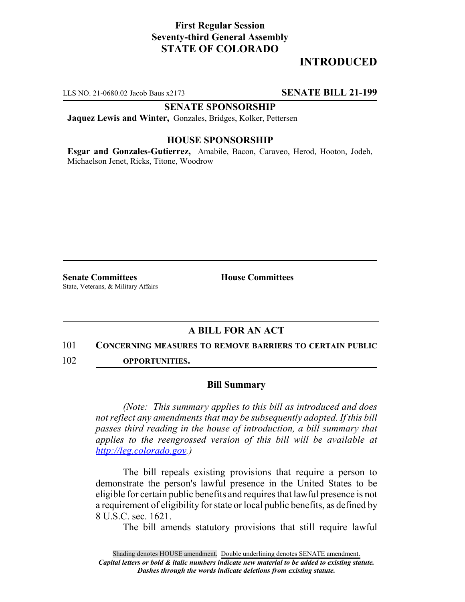## **First Regular Session Seventy-third General Assembly STATE OF COLORADO**

# **INTRODUCED**

LLS NO. 21-0680.02 Jacob Baus x2173 **SENATE BILL 21-199**

### **SENATE SPONSORSHIP**

**Jaquez Lewis and Winter,** Gonzales, Bridges, Kolker, Pettersen

### **HOUSE SPONSORSHIP**

**Esgar and Gonzales-Gutierrez,** Amabile, Bacon, Caraveo, Herod, Hooton, Jodeh, Michaelson Jenet, Ricks, Titone, Woodrow

**Senate Committees House Committees** State, Veterans, & Military Affairs

### **A BILL FOR AN ACT**

#### 101 **CONCERNING MEASURES TO REMOVE BARRIERS TO CERTAIN PUBLIC**

102 **OPPORTUNITIES.**

#### **Bill Summary**

*(Note: This summary applies to this bill as introduced and does not reflect any amendments that may be subsequently adopted. If this bill passes third reading in the house of introduction, a bill summary that applies to the reengrossed version of this bill will be available at http://leg.colorado.gov.)*

The bill repeals existing provisions that require a person to demonstrate the person's lawful presence in the United States to be eligible for certain public benefits and requires that lawful presence is not a requirement of eligibility for state or local public benefits, as defined by 8 U.S.C. sec. 1621.

The bill amends statutory provisions that still require lawful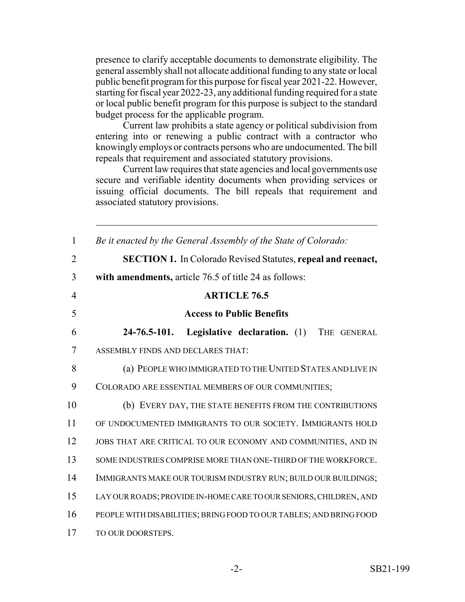presence to clarify acceptable documents to demonstrate eligibility. The general assembly shall not allocate additional funding to any state or local public benefit program for this purpose for fiscal year 2021-22. However, starting for fiscal year 2022-23, any additional funding required for a state or local public benefit program for this purpose is subject to the standard budget process for the applicable program.

Current law prohibits a state agency or political subdivision from entering into or renewing a public contract with a contractor who knowingly employs or contracts persons who are undocumented. The bill repeals that requirement and associated statutory provisions.

Current law requires that state agencies and local governments use secure and verifiable identity documents when providing services or issuing official documents. The bill repeals that requirement and associated statutory provisions.

| $\mathbf{1}$   | Be it enacted by the General Assembly of the State of Colorado:     |
|----------------|---------------------------------------------------------------------|
| $\overline{2}$ | <b>SECTION 1.</b> In Colorado Revised Statutes, repeal and reenact, |
| 3              | with amendments, article 76.5 of title 24 as follows:               |
| $\overline{4}$ | <b>ARTICLE 76.5</b>                                                 |
| 5              | <b>Access to Public Benefits</b>                                    |
| 6              | $24 - 76.5 - 101.$<br>Legislative declaration. (1)<br>THE GENERAL   |
| 7              | ASSEMBLY FINDS AND DECLARES THAT:                                   |
| 8              | (a) PEOPLE WHO IMMIGRATED TO THE UNITED STATES AND LIVE IN          |
| 9              | COLORADO ARE ESSENTIAL MEMBERS OF OUR COMMUNITIES;                  |
| 10             | (b) EVERY DAY, THE STATE BENEFITS FROM THE CONTRIBUTIONS            |
| 11             | OF UNDOCUMENTED IMMIGRANTS TO OUR SOCIETY. IMMIGRANTS HOLD          |
| 12             | JOBS THAT ARE CRITICAL TO OUR ECONOMY AND COMMUNITIES, AND IN       |
| 13             | SOME INDUSTRIES COMPRISE MORE THAN ONE-THIRD OF THE WORKFORCE.      |
| 14             | IMMIGRANTS MAKE OUR TOURISM INDUSTRY RUN; BUILD OUR BUILDINGS;      |
| 15             | LAY OUR ROADS; PROVIDE IN-HOME CARE TO OUR SENIORS, CHILDREN, AND   |
| 16             | PEOPLE WITH DISABILITIES; BRING FOOD TO OUR TABLES; AND BRING FOOD  |
| 17             | TO OUR DOORSTEPS.                                                   |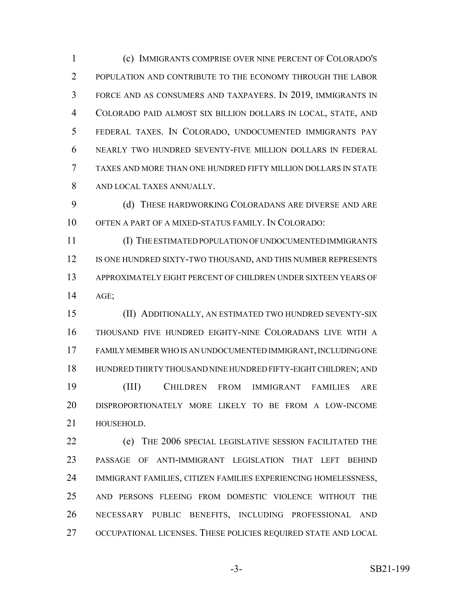(c) IMMIGRANTS COMPRISE OVER NINE PERCENT OF COLORADO'S 2 POPULATION AND CONTRIBUTE TO THE ECONOMY THROUGH THE LABOR FORCE AND AS CONSUMERS AND TAXPAYERS. IN 2019, IMMIGRANTS IN COLORADO PAID ALMOST SIX BILLION DOLLARS IN LOCAL, STATE, AND FEDERAL TAXES. IN COLORADO, UNDOCUMENTED IMMIGRANTS PAY NEARLY TWO HUNDRED SEVENTY-FIVE MILLION DOLLARS IN FEDERAL TAXES AND MORE THAN ONE HUNDRED FIFTY MILLION DOLLARS IN STATE AND LOCAL TAXES ANNUALLY.

9 (d) THESE HARDWORKING COLORADANS ARE DIVERSE AND ARE OFTEN A PART OF A MIXED-STATUS FAMILY. IN COLORADO:

 (I) THE ESTIMATED POPULATION OF UNDOCUMENTED IMMIGRANTS 12 IS ONE HUNDRED SIXTY-TWO THOUSAND, AND THIS NUMBER REPRESENTS APPROXIMATELY EIGHT PERCENT OF CHILDREN UNDER SIXTEEN YEARS OF AGE;

 (II) ADDITIONALLY, AN ESTIMATED TWO HUNDRED SEVENTY-SIX THOUSAND FIVE HUNDRED EIGHTY-NINE COLORADANS LIVE WITH A FAMILY MEMBER WHO IS AN UNDOCUMENTED IMMIGRANT, INCLUDING ONE HUNDRED THIRTY THOUSAND NINE HUNDRED FIFTY-EIGHT CHILDREN; AND (III) CHILDREN FROM IMMIGRANT FAMILIES ARE DISPROPORTIONATELY MORE LIKELY TO BE FROM A LOW-INCOME HOUSEHOLD.

 (e) THE 2006 SPECIAL LEGISLATIVE SESSION FACILITATED THE PASSAGE OF ANTI-IMMIGRANT LEGISLATION THAT LEFT BEHIND IMMIGRANT FAMILIES, CITIZEN FAMILIES EXPERIENCING HOMELESSNESS, AND PERSONS FLEEING FROM DOMESTIC VIOLENCE WITHOUT THE NECESSARY PUBLIC BENEFITS, INCLUDING PROFESSIONAL AND OCCUPATIONAL LICENSES. THESE POLICIES REQUIRED STATE AND LOCAL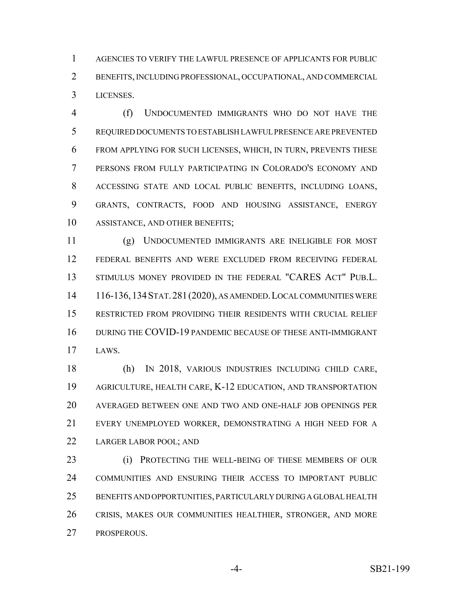AGENCIES TO VERIFY THE LAWFUL PRESENCE OF APPLICANTS FOR PUBLIC BENEFITS, INCLUDING PROFESSIONAL, OCCUPATIONAL, AND COMMERCIAL LICENSES.

 (f) UNDOCUMENTED IMMIGRANTS WHO DO NOT HAVE THE REQUIRED DOCUMENTS TO ESTABLISH LAWFUL PRESENCE ARE PREVENTED FROM APPLYING FOR SUCH LICENSES, WHICH, IN TURN, PREVENTS THESE PERSONS FROM FULLY PARTICIPATING IN COLORADO'S ECONOMY AND ACCESSING STATE AND LOCAL PUBLIC BENEFITS, INCLUDING LOANS, GRANTS, CONTRACTS, FOOD AND HOUSING ASSISTANCE, ENERGY ASSISTANCE, AND OTHER BENEFITS;

 (g) UNDOCUMENTED IMMIGRANTS ARE INELIGIBLE FOR MOST FEDERAL BENEFITS AND WERE EXCLUDED FROM RECEIVING FEDERAL STIMULUS MONEY PROVIDED IN THE FEDERAL "CARES ACT" PUB.L. 116-136,134STAT.281(2020), AS AMENDED.LOCAL COMMUNITIES WERE RESTRICTED FROM PROVIDING THEIR RESIDENTS WITH CRUCIAL RELIEF DURING THE COVID-19 PANDEMIC BECAUSE OF THESE ANTI-IMMIGRANT LAWS.

 (h) IN 2018, VARIOUS INDUSTRIES INCLUDING CHILD CARE, AGRICULTURE, HEALTH CARE, K-12 EDUCATION, AND TRANSPORTATION AVERAGED BETWEEN ONE AND TWO AND ONE-HALF JOB OPENINGS PER EVERY UNEMPLOYED WORKER, DEMONSTRATING A HIGH NEED FOR A LARGER LABOR POOL; AND

 (i) PROTECTING THE WELL-BEING OF THESE MEMBERS OF OUR COMMUNITIES AND ENSURING THEIR ACCESS TO IMPORTANT PUBLIC BENEFITS AND OPPORTUNITIES, PARTICULARLY DURING A GLOBAL HEALTH CRISIS, MAKES OUR COMMUNITIES HEALTHIER, STRONGER, AND MORE PROSPEROUS.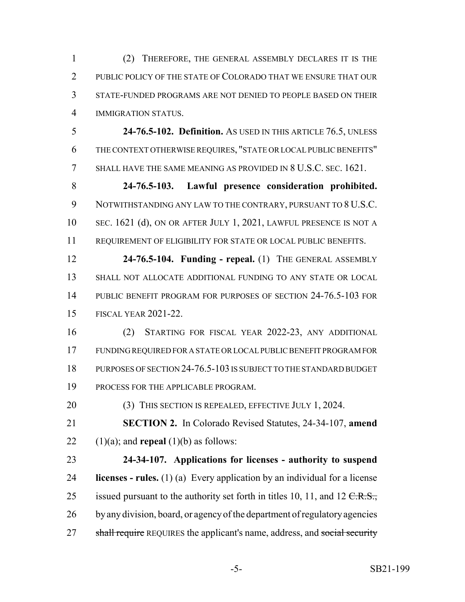(2) THEREFORE, THE GENERAL ASSEMBLY DECLARES IT IS THE 2 PUBLIC POLICY OF THE STATE OF COLORADO THAT WE ENSURE THAT OUR STATE-FUNDED PROGRAMS ARE NOT DENIED TO PEOPLE BASED ON THEIR IMMIGRATION STATUS.

 **24-76.5-102. Definition.** AS USED IN THIS ARTICLE 76.5, UNLESS THE CONTEXT OTHERWISE REQUIRES, "STATE OR LOCAL PUBLIC BENEFITS" SHALL HAVE THE SAME MEANING AS PROVIDED IN 8 U.S.C. SEC. 1621.

 **24-76.5-103. Lawful presence consideration prohibited.** NOTWITHSTANDING ANY LAW TO THE CONTRARY, PURSUANT TO 8 U.S.C. 10 SEC. 1621 (d), ON OR AFTER JULY 1, 2021, LAWFUL PRESENCE IS NOT A REQUIREMENT OF ELIGIBILITY FOR STATE OR LOCAL PUBLIC BENEFITS.

 **24-76.5-104. Funding - repeal.** (1) THE GENERAL ASSEMBLY SHALL NOT ALLOCATE ADDITIONAL FUNDING TO ANY STATE OR LOCAL PUBLIC BENEFIT PROGRAM FOR PURPOSES OF SECTION 24-76.5-103 FOR FISCAL YEAR 2021-22.

 (2) STARTING FOR FISCAL YEAR 2022-23, ANY ADDITIONAL FUNDING REQUIRED FOR A STATE OR LOCAL PUBLIC BENEFIT PROGRAM FOR PURPOSES OF SECTION 24-76.5-103 IS SUBJECT TO THE STANDARD BUDGET PROCESS FOR THE APPLICABLE PROGRAM.

20 (3) THIS SECTION IS REPEALED, EFFECTIVE JULY 1, 2024.

 **SECTION 2.** In Colorado Revised Statutes, 24-34-107, **amend** 22  $(1)(a)$ ; and **repeal**  $(1)(b)$  as follows:

 **24-34-107. Applications for licenses - authority to suspend licenses - rules.** (1) (a) Every application by an individual for a license 25 issued pursuant to the authority set forth in titles 10, 11, and 12  $C.R.S.,$ 26 by any division, board, or agency of the department of regulatory agencies 27 shall require REQUIRES the applicant's name, address, and social security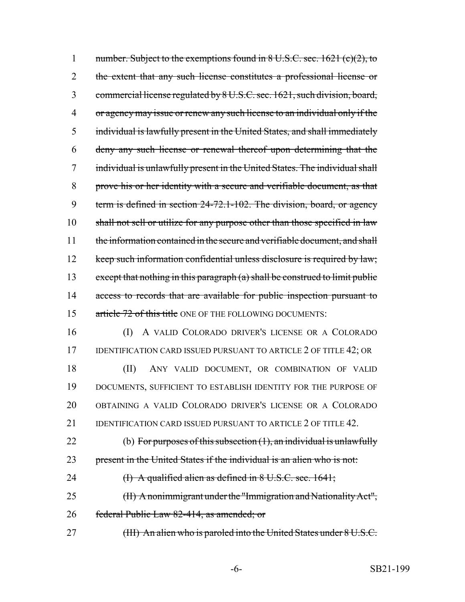1 number. Subject to the exemptions found in 8 U.S.C. sec. 1621 (c)(2), to 2 the extent that any such license constitutes a professional license or 3 commercial license regulated by 8 U.S.C. sec. 1621, such division, board, 4 or agency may issue or renew any such license to an individual only if the 5 individual is lawfully present in the United States, and shall immediately 6 deny any such license or renewal thereof upon determining that the 7 individual is unlawfully present in the United States. The individual shall 8 prove his or her identity with a secure and verifiable document, as that 9 term is defined in section 24-72.1-102. The division, board, or agency 10 shall not sell or utilize for any purpose other than those specified in law 11 the information contained in the secure and verifiable document, and shall 12 keep such information confidential unless disclosure is required by law; 13 except that nothing in this paragraph (a) shall be construed to limit public 14 access to records that are available for public inspection pursuant to 15 article 72 of this title ONE OF THE FOLLOWING DOCUMENTS: 16 (I) A VALID COLORADO DRIVER'S LICENSE OR A COLORADO 17 IDENTIFICATION CARD ISSUED PURSUANT TO ARTICLE 2 OF TITLE 42; OR 18 (II) ANY VALID DOCUMENT, OR COMBINATION OF VALID 19 DOCUMENTS, SUFFICIENT TO ESTABLISH IDENTITY FOR THE PURPOSE OF 20 OBTAINING A VALID COLORADO DRIVER'S LICENSE OR A COLORADO 21 IDENTIFICATION CARD ISSUED PURSUANT TO ARTICLE 2 OF TITLE 42. 22 (b) For purposes of this subsection  $(1)$ , an individual is unlawfully 23 present in the United States if the individual is an alien who is not: 24  $\qquad$  (I) A qualified alien as defined in  $8 \text{ U.S.C. sec. } 1641;$ 25 (II) A nonimmigrant under the "Immigration and Nationality Act", 26 federal Public Law 82-414, as amended; or 27 (III) An alien who is paroled into the United States under 8 U.S.C.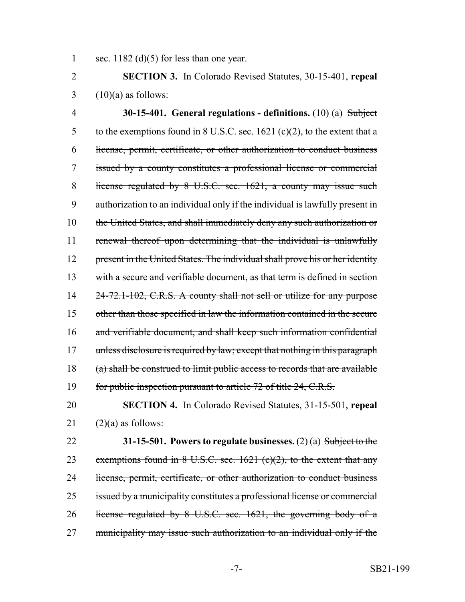1 sec.  $1182$  (d)(5) for less than one year.

2 **SECTION 3.** In Colorado Revised Statutes, 30-15-401, **repeal**  $3 \quad (10)(a)$  as follows:

4 **30-15-401. General regulations - definitions.** (10) (a) Subject 5 to the exemptions found in 8 U.S.C. sec. 1621 (c)(2), to the extent that a 6 license, permit, certificate, or other authorization to conduct business 7 issued by a county constitutes a professional license or commercial 8 license regulated by 8 U.S.C. sec. 1621, a county may issue such 9 authorization to an individual only if the individual is lawfully present in 10 the United States, and shall immediately deny any such authorization or 11 renewal thereof upon determining that the individual is unlawfully 12 present in the United States. The individual shall prove his or her identity 13 with a secure and verifiable document, as that term is defined in section 14 24-72.1-102, C.R.S. A county shall not sell or utilize for any purpose 15 other than those specified in law the information contained in the secure 16 and verifiable document, and shall keep such information confidential 17 unless disclosure is required by law; except that nothing in this paragraph 18 (a) shall be construed to limit public access to records that are available 19 for public inspection pursuant to article 72 of title 24, C.R.S.

20 **SECTION 4.** In Colorado Revised Statutes, 31-15-501, **repeal** 21  $(2)(a)$  as follows:

22 **31-15-501. Powers to regulate businesses.** (2) (a) Subject to the 23 exemptions found in  $8 \text{ U.S.C. sec. } 1621 \text{ (c)}(2)$ , to the extent that any 24 license, permit, certificate, or other authorization to conduct business 25 issued by a municipality constitutes a professional license or commercial 26 license regulated by 8 U.S.C. sec. 1621, the governing body of a 27 municipality may issue such authorization to an individual only if the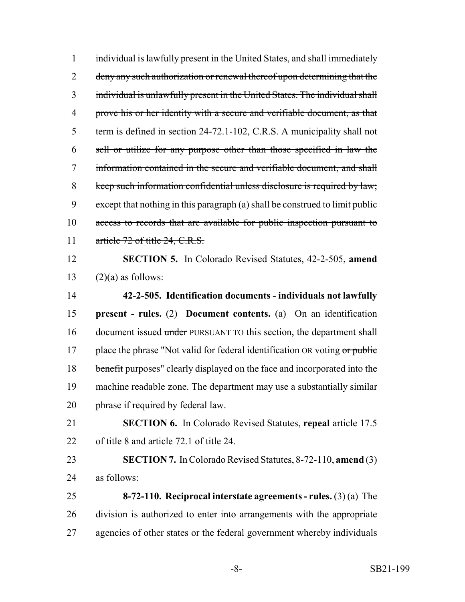individual is lawfully present in the United States, and shall immediately 2 deny any such authorization or renewal thereof upon determining that the individual is unlawfully present in the United States. The individual shall 4 prove his or her identity with a secure and verifiable document, as that term is defined in section 24-72.1-102, C.R.S. A municipality shall not sell or utilize for any purpose other than those specified in law the information contained in the secure and verifiable document, and shall keep such information confidential unless disclosure is required by law; 9 except that nothing in this paragraph  $(a)$  shall be construed to limit public access to records that are available for public inspection pursuant to 11 article 72 of title 24, C.R.S. **SECTION 5.** In Colorado Revised Statutes, 42-2-505, **amend**  $(2)(a)$  as follows: **42-2-505. Identification documents - individuals not lawfully present - rules.** (2) **Document contents.** (a) On an identification 16 document issued under PURSUANT TO this section, the department shall 17 place the phrase "Not valid for federal identification OR voting  $or$  public 18 benefit purposes" clearly displayed on the face and incorporated into the machine readable zone. The department may use a substantially similar phrase if required by federal law. **SECTION 6.** In Colorado Revised Statutes, **repeal** article 17.5 of title 8 and article 72.1 of title 24. **SECTION 7.** In Colorado Revised Statutes, 8-72-110, **amend** (3) as follows: **8-72-110. Reciprocal interstate agreements - rules.** (3) (a) The division is authorized to enter into arrangements with the appropriate agencies of other states or the federal government whereby individuals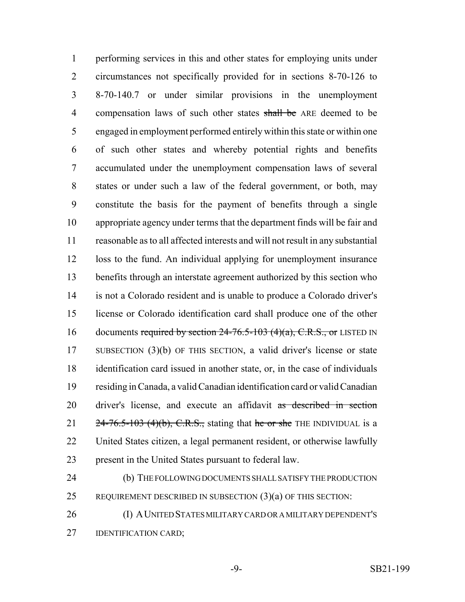performing services in this and other states for employing units under circumstances not specifically provided for in sections 8-70-126 to 8-70-140.7 or under similar provisions in the unemployment 4 compensation laws of such other states shall be ARE deemed to be engaged in employment performed entirely within this state or within one of such other states and whereby potential rights and benefits accumulated under the unemployment compensation laws of several states or under such a law of the federal government, or both, may constitute the basis for the payment of benefits through a single appropriate agency under terms that the department finds will be fair and reasonable as to all affected interests and will not result in any substantial loss to the fund. An individual applying for unemployment insurance benefits through an interstate agreement authorized by this section who is not a Colorado resident and is unable to produce a Colorado driver's license or Colorado identification card shall produce one of the other 16 documents required by section  $24-76.5-103$  (4)(a), C.R.S., or LISTED IN SUBSECTION (3)(b) OF THIS SECTION, a valid driver's license or state identification card issued in another state, or, in the case of individuals residing in Canada, a valid Canadian identification card or valid Canadian 20 driver's license, and execute an affidavit as described in section  $24-76.5-103$  (4)(b), C.R.S., stating that he or she THE INDIVIDUAL is a United States citizen, a legal permanent resident, or otherwise lawfully present in the United States pursuant to federal law.

 (b) THE FOLLOWING DOCUMENTS SHALL SATISFY THE PRODUCTION 25 REQUIREMENT DESCRIBED IN SUBSECTION  $(3)(a)$  OF THIS SECTION:

 (I) AUNITED STATES MILITARY CARD OR A MILITARY DEPENDENT'S **IDENTIFICATION CARD:**